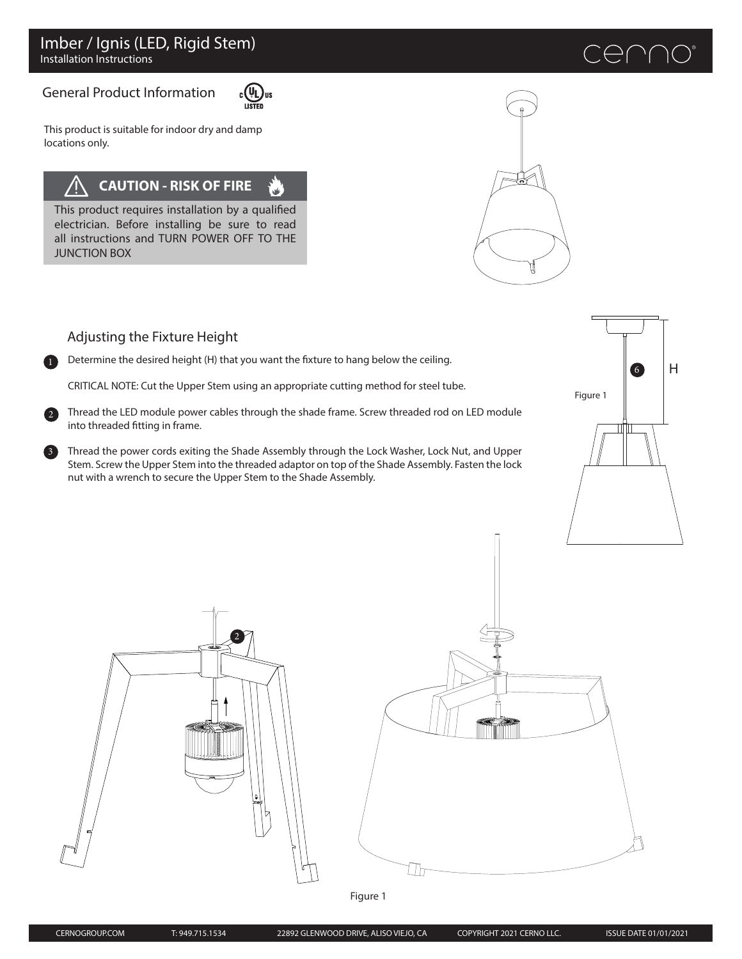# General Product Information



This product is suitable for indoor dry and damp locations only.

#### **CAUTION - RISK OF FIRE** .<br>آگاه

This product requires installation by a qualified electrician. Before installing be sure to read all instructions and TURN POWER OFF TO THE JUNCTION BOX



# cenno

<sup>6</sup> H Figure 1

# Adjusting the Fixture Height

3

2

**1** Determine the desired height (H) that you want the fixture to hang below the ceiling.

CRITICAL NOTE: Cut the Upper Stem using an appropriate cutting method for steel tube.

Thread the LED module power cables through the shade frame. Screw threaded rod on LED module into threaded fitting in frame.

Thread the power cords exiting the Shade Assembly through the Lock Washer, Lock Nut, and Upper Stem. Screw the Upper Stem into the threaded adaptor on top of the Shade Assembly. Fasten the lock nut with a wrench to secure the Upper Stem to the Shade Assembly.





Figure 1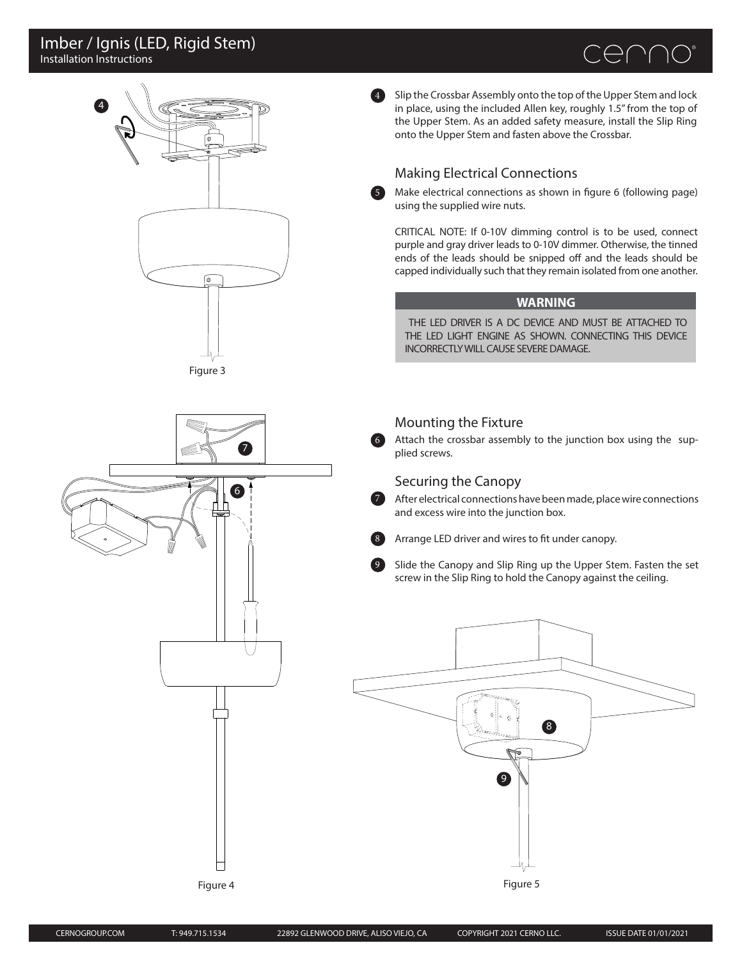## Installation Instructions Imber / Ignis (LED, Rigid Stem)





6

4 Slip the Crossbar Assembly onto the top of the Upper Stem and lock in place, using the included Allen key, roughly 1.5" from the top of the Upper Stem. As an added safety measure, install the Slip Ring onto the Upper Stem and fasten above the Crossbar.

# Making Electrical Connections

Make electrical connections as shown in figure 6 (following page) using the supplied wire nuts.

CRITICAL NOTE: If 0-10V dimming control is to be used, connect purple and gray driver leads to 0-10V dimmer. Otherwise, the tinned ends of the leads should be snipped off and the leads should be capped individually such that they remain isolated from one another.

#### **WARNING**

THE LED DRIVER IS A DC DEVICE AND MUST BE ATTACHED TO THE LED LIGHT ENGINE AS SHOWN. CONNECTING THIS DEVICE INCORRECTLY WILL CAUSE SEVERE DAMAGE.

#### Mounting the Fixture

6

5

7

9

Attach the crossbar assembly to the junction box using the supplied screws.

### Securing the Canopy

After electrical connections have been made, place wire connections and excess wire into the junction box.



Slide the Canopy and Slip Ring up the Upper Stem. Fasten the set screw in the Slip Ring to hold the Canopy against the ceiling.